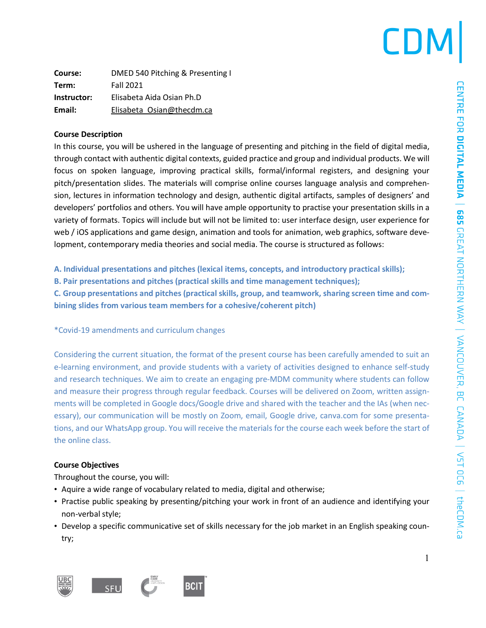## CDN

| Course:     | DMED 540 Pitching & Presenting I |  |
|-------------|----------------------------------|--|
| Term:       | <b>Fall 2021</b>                 |  |
| Instructor: | Elisabeta Aida Osian Ph.D        |  |
| Email:      | Elisabeta Osian@thecdm.ca        |  |

### **Course Description**

In this course, you will be ushered in the language of presenting and pitching in the field of digital media, through contact with authentic digital contexts, guided practice and group and individual products. We will focus on spoken language, improving practical skills, formal/informal registers, and designing your pitch/presentation slides. The materials will comprise online courses language analysis and comprehension, lectures in information technology and design, authentic digital artifacts, samples of designers' and developers' portfolios and others. You will have ample opportunity to practise your presentation skills in a variety of formats. Topics will include but will not be limited to: user interface design, user experience for web / iOS applications and game design, animation and tools for animation, web graphics, software development, contemporary media theories and social media. The course is structured as follows:

**A. Individual presentations and pitches (lexical items, concepts, and introductory practical skills);**

**B. Pair presentations and pitches (practical skills and time management techniques);**

**C. Group presentations and pitches (practical skills, group, and teamwork, sharing screen time and combining slides from various team members for a cohesive/coherent pitch)**

\*Covid-19 amendments and curriculum changes

Considering the current situation, the format of the present course has been carefully amended to suit an e-learning environment, and provide students with a variety of activities designed to enhance self-study and research techniques. We aim to create an engaging pre-MDM community where students can follow and measure their progress through regular feedback. Courses will be delivered on Zoom, written assignments will be completed in Google docs/Google drive and shared with the teacher and the IAs (when necessary), our communication will be mostly on Zoom, email, Google drive, canva.com for some presentations, and our WhatsApp group. You will receive the materials for the course each week before the start of the online class.

## **Course Objectives**

Throughout the course, you will:

- Aquire a wide range of vocabulary related to media, digital and otherwise;
- Practise public speaking by presenting/pitching your work in front of an audience and identifying your non-verbal style;
- Develop a specific communicative set of skills necessary for the job market in an English speaking country;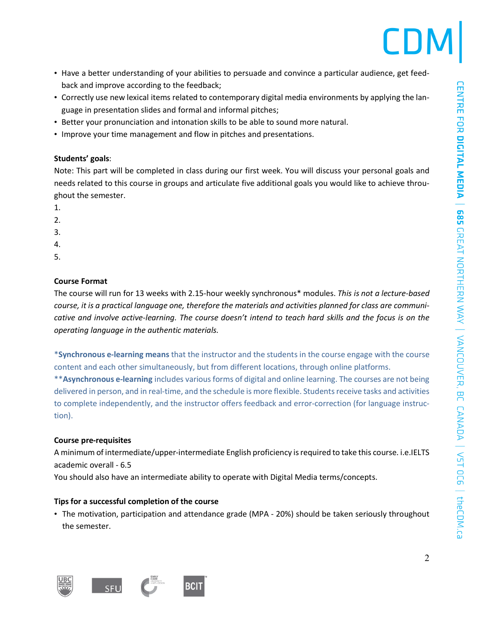

- Have a better understanding of your abilities to persuade and convince a particular audience, get feedback and improve according to the feedback;
- Correctly use new lexical items related to contemporary digital media environments by applying the language in presentation slides and formal and informal pitches;
- Better your pronunciation and intonation skills to be able to sound more natural.
- Improve your time management and flow in pitches and presentations.

### **Students' goals**:

Note: This part will be completed in class during our first week. You will discuss your personal goals and needs related to this course in groups and articulate five additional goals you would like to achieve throughout the semester.

- 1.
- 2.
- 3.
- 4.
- 5.

### **Course Format**

The course will run for 13 weeks with 2.15-hour weekly synchronous\* modules. *This is not a lecture-based* course, it is a practical language one, therefore the materials and activities planned for class are communicative and involve active-learning. The course doesn't intend to teach hard skills and the focus is on the *operating language in the authentic materials.*

\***Synchronous e-learning means** that the instructor and the students in the course engage with the course content and each other simultaneously, but from different locations, through online platforms.

\*\***Asynchronous e-learning** includes various forms of digital and online learning. The courses are not being delivered in person, and in real-time, and the schedule is more flexible. Studentsreceive tasks and activities to complete independently, and the instructor offers feedback and error-correction (for language instruction).

### **Course pre-requisites**

A minimum of intermediate/upper-intermediate English proficiency isrequired to take this course. i.e.IELTS academic overall - 6.5

You should also have an intermediate ability to operate with Digital Media terms/concepts.

### **Tips for a successful completion of the course**

• The motivation, participation and attendance grade (MPA - 20%) should be taken seriously throughout the semester.



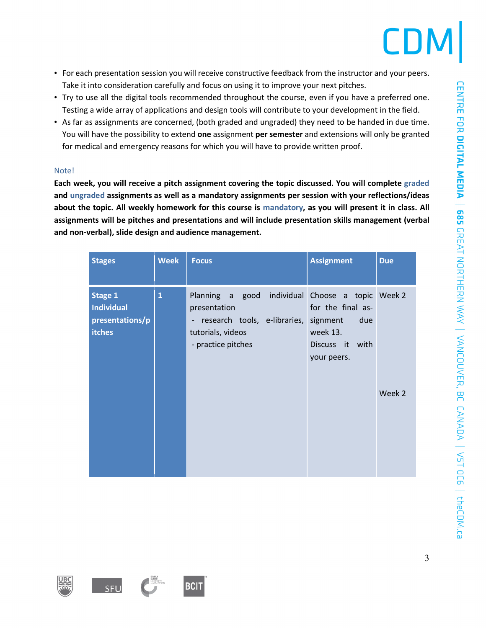- For each presentation session you will receive constructive feedback from the instructor and your peers. Take it into consideration carefully and focus on using it to improve your next pitches.
- Try to use all the digital tools recommended throughout the course, even if you have a preferred one. Testing a wide array of applications and design tools will contribute to your development in the field.
- As far as assignments are concerned, (both graded and ungraded) they need to be handed in due time. You will have the possibility to extend **one** assignment **per semester** and extensions will only be granted for medical and emergency reasons for which you will have to provide written proof.

## Note!

**Each week, you will receive a pitch assignment covering the topic discussed. You will complete graded and ungraded assignments as well as a mandatory assignments per session with your reflections/ideas** about the topic. All weekly homework for this course is mandatory, as you will present it in class. All **assignments will be pitches and presentations and will include presentation skills management (verbal and non-verbal), slide design and audience management.**

| <b>Stages</b>                                                           | <b>Week</b>  | <b>Focus</b>                                                                                                                                  | <b>Assignment</b>                                                                  | <b>Due</b> |
|-------------------------------------------------------------------------|--------------|-----------------------------------------------------------------------------------------------------------------------------------------------|------------------------------------------------------------------------------------|------------|
| <b>Stage 1</b><br><b>Individual</b><br>presentations/p<br><b>itches</b> | $\mathbf{1}$ | Planning a good individual Choose a topic Week 2<br>presentation<br>- research tools, e-libraries,<br>tutorials, videos<br>- practice pitches | for the final as-<br>signment<br>due<br>week 13.<br>Discuss it with<br>your peers. | Week 2     |



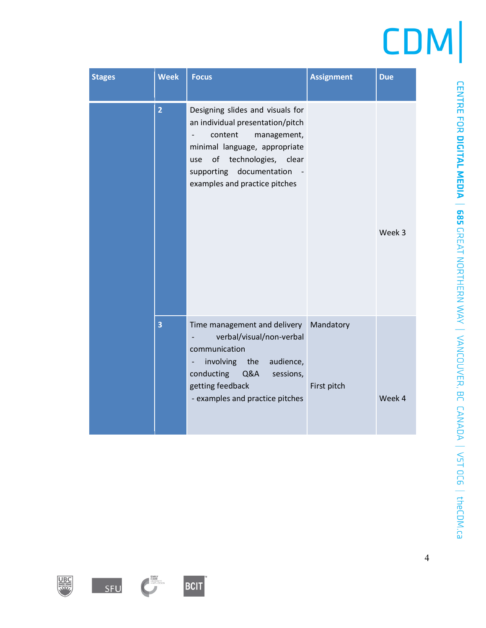| <b>Stages</b> | <b>Week</b>    | <b>Focus</b>                                                                                                                                                                                                                  | <b>Assignment</b>        | <b>Due</b> |
|---------------|----------------|-------------------------------------------------------------------------------------------------------------------------------------------------------------------------------------------------------------------------------|--------------------------|------------|
|               | $\overline{2}$ | Designing slides and visuals for<br>an individual presentation/pitch<br>content<br>management,<br>minimal language, appropriate<br>of technologies, clear<br>use<br>supporting documentation<br>examples and practice pitches |                          | Week 3     |
|               | 3              | Time management and delivery<br>verbal/visual/non-verbal<br>communication<br>involving the<br>audience,<br>-<br>Q&A<br>conducting<br>sessions,<br>getting feedback<br>- examples and practice pitches                         | Mandatory<br>First pitch | Week 4     |

CENTRE FOR DICITAL MEDIA | 685 GREAT NORTHERN WAY | VANCOUVER, BC CANADA | V5T OC6 | theCDM.ca





SFU



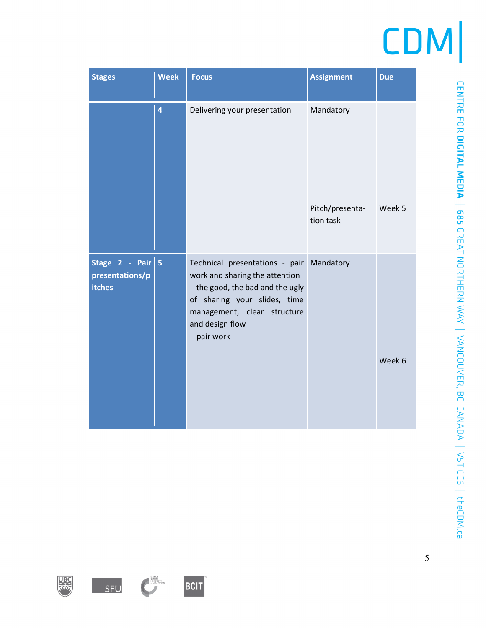| <b>Stages</b>                                      | <b>Week</b>    | <b>Focus</b>                                                                                                                                                                                                    | <b>Assignment</b>            | <b>Due</b> |
|----------------------------------------------------|----------------|-----------------------------------------------------------------------------------------------------------------------------------------------------------------------------------------------------------------|------------------------------|------------|
|                                                    | 4              | Delivering your presentation                                                                                                                                                                                    | Mandatory                    | Week 5     |
|                                                    |                |                                                                                                                                                                                                                 | Pitch/presenta-<br>tion task |            |
| Stage 2 - Pair<br>presentations/p<br><b>itches</b> | 5 <sub>5</sub> | Technical presentations - pair Mandatory<br>work and sharing the attention<br>- the good, the bad and the ugly<br>of sharing your slides, time<br>management, clear structure<br>and design flow<br>- pair work |                              | Week 6     |







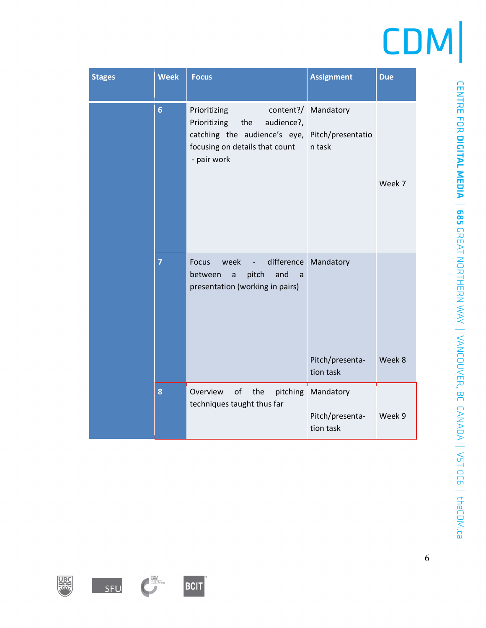| <b>Stages</b> | <b>Week</b>    | <b>Focus</b>                                                                                                                                         | <b>Assignment</b>                                    | <b>Due</b> |
|---------------|----------------|------------------------------------------------------------------------------------------------------------------------------------------------------|------------------------------------------------------|------------|
|               | $6\phantom{1}$ | Prioritizing<br>Prioritizing<br>the<br>audience?,<br>catching the audience's eye, Pitch/presentatio<br>focusing on details that count<br>- pair work | content?/ Mandatory<br>n task                        | Week 7     |
|               | $\overline{7}$ | week<br><b>Focus</b><br>$\frac{1}{2}$<br>pitch<br>and<br>between<br>$\mathsf{a}$<br>a<br>presentation (working in pairs)                             | difference Mandatory<br>Pitch/presenta-<br>tion task | Week 8     |
|               | 8              | Overview<br>of<br>the<br>techniques taught thus far                                                                                                  | pitching Mandatory<br>Pitch/presenta-<br>tion task   | Week 9     |







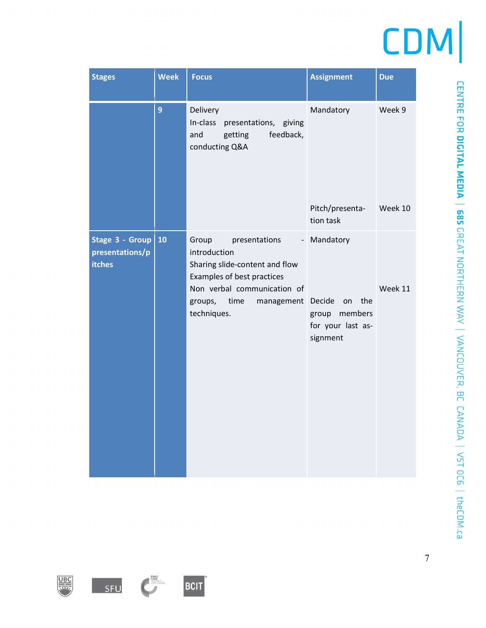| <b>Stages</b>                                       | <b>Week</b> | <b>Focus</b>                                                                                                                                                                                                             | <b>Assignment</b>                                                           | <b>Due</b> |
|-----------------------------------------------------|-------------|--------------------------------------------------------------------------------------------------------------------------------------------------------------------------------------------------------------------------|-----------------------------------------------------------------------------|------------|
|                                                     | 9           | Delivery<br>In-class<br>presentations, giving<br>feedback,<br>and<br>getting<br>conducting Q&A                                                                                                                           | Mandatory                                                                   | Week 9     |
|                                                     |             |                                                                                                                                                                                                                          | Pitch/presenta-<br>tion task                                                | Week 10    |
| Stage 3 - Group<br>presentations/p<br><b>itches</b> | 10          | Group<br>presentations<br>$\overline{\phantom{a}}$<br>introduction<br>Sharing slide-content and flow<br>Examples of best practices<br>Non verbal communication of<br>groups,<br>time<br>management Decide<br>techniques. | Mandatory<br>the<br>on<br>members<br>group<br>for your last as-<br>signment | Week 11    |

**EMIX**<br>**UNITED**<br>**UNITED**<br> **UNITED** 

SFU

BCIT

**REAL PROPERTY**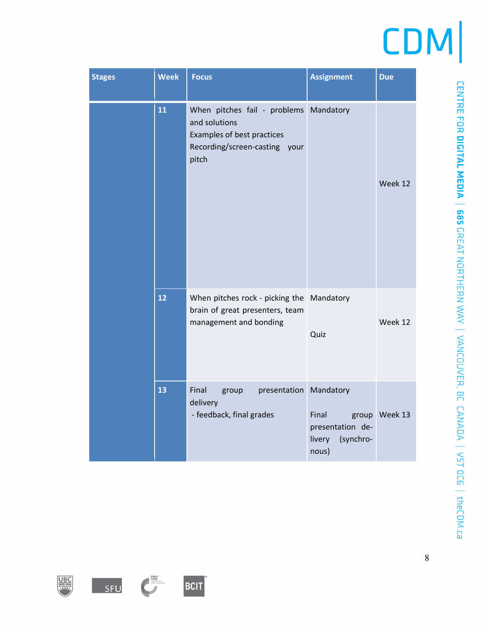| <b>Stages</b> | <b>Week</b> | <b>Focus</b>                                                                                                                    | <b>Assignment</b>                                         | <b>Due</b>    |
|---------------|-------------|---------------------------------------------------------------------------------------------------------------------------------|-----------------------------------------------------------|---------------|
|               | 11          | When pitches fail - problems Mandatory<br>and solutions<br>Examples of best practices<br>Recording/screen-casting your<br>pitch |                                                           | Week 12       |
|               | 12          | When pitches rock - picking the Mandatory<br>brain of great presenters, team<br>management and bonding                          | Quiz                                                      | Week 12       |
|               | 13          | Final<br>presentation Mandatory<br>group<br>delivery<br>- feedback, final grades                                                | Final<br>presentation de-<br>(synchro-<br>livery<br>nous) | group Week 13 |





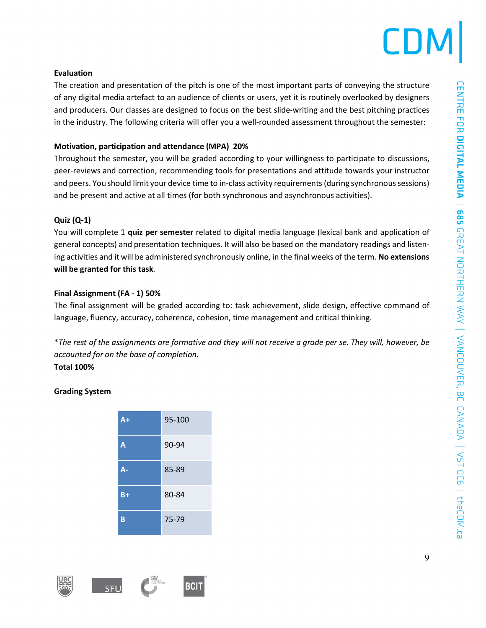## **Evaluation**

The creation and presentation of the pitch is one of the most important parts of conveying the structure of any digital media artefact to an audience of clients or users, yet it is routinely overlooked by designers and producers. Our classes are designed to focus on the best slide-writing and the best pitching practices in the industry. The following criteria will offer you a well-rounded assessment throughout the semester:

## **Motivation, participation and attendance (MPA) 20%**

Throughout the semester, you will be graded according to your willingness to participate to discussions, peer-reviews and correction, recommending tools for presentations and attitude towards your instructor and peers. You should limit your device time to in-class activity requirements (during synchronous sessions) and be present and active at all times (for both synchronous and asynchronous activities).

## **Quiz (Q-1)**

You will complete 1 **quiz per semester** related to digital media language (lexical bank and application of general concepts) and presentation techniques. It will also be based on the mandatory readings and listening activities and it will be administered synchronously online, in the final weeks of the term. **No extensions will be granted for this task**.

## **Final Assignment (FA - 1) 50%**

The final assignment will be graded according to: task achievement, slide design, effective command of language, fluency, accuracy, coherence, cohesion, time management and critical thinking.

\*The rest of the assignments are formative and they will not receive a grade per se. They will, however, be *accounted for on the base of completion.* **Total 100%**

## **Grading System**

| $A +$ | 95-100 |
|-------|--------|
| A     | 90-94  |
| А-    | 85-89  |
| $B+$  | 80-84  |
| B     | 75-79  |